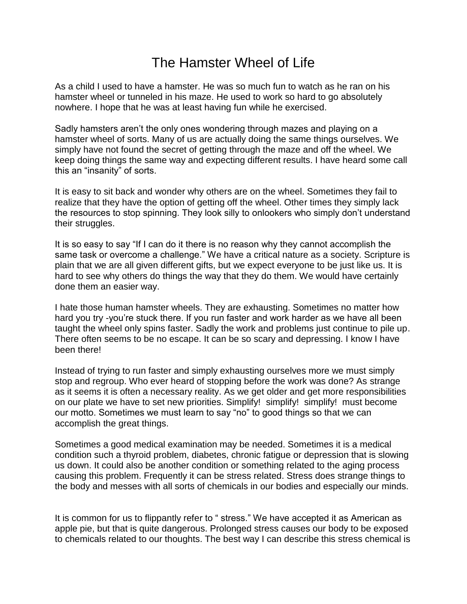## The Hamster Wheel of Life

As a child I used to have a hamster. He was so much fun to watch as he ran on his hamster wheel or tunneled in his maze. He used to work so hard to go absolutely nowhere. I hope that he was at least having fun while he exercised.

Sadly hamsters aren't the only ones wondering through mazes and playing on a hamster wheel of sorts. Many of us are actually doing the same things ourselves. We simply have not found the secret of getting through the maze and off the wheel. We keep doing things the same way and expecting different results. I have heard some call this an "insanity" of sorts.

It is easy to sit back and wonder why others are on the wheel. Sometimes they fail to realize that they have the option of getting off the wheel. Other times they simply lack the resources to stop spinning. They look silly to onlookers who simply don't understand their struggles.

It is so easy to say "If I can do it there is no reason why they cannot accomplish the same task or overcome a challenge." We have a critical nature as a society. Scripture is plain that we are all given different gifts, but we expect everyone to be just like us. It is hard to see why others do things the way that they do them. We would have certainly done them an easier way.

I hate those human hamster wheels. They are exhausting. Sometimes no matter how hard you try -you're stuck there. If you run faster and work harder as we have all been taught the wheel only spins faster. Sadly the work and problems just continue to pile up. There often seems to be no escape. It can be so scary and depressing. I know I have been there!

Instead of trying to run faster and simply exhausting ourselves more we must simply stop and regroup. Who ever heard of stopping before the work was done? As strange as it seems it is often a necessary reality. As we get older and get more responsibilities on our plate we have to set new priorities. Simplify! simplify! simplify! must become our motto. Sometimes we must learn to say "no" to good things so that we can accomplish the great things.

Sometimes a good medical examination may be needed. Sometimes it is a medical condition such a thyroid problem, diabetes, chronic fatigue or depression that is slowing us down. It could also be another condition or something related to the aging process causing this problem. Frequently it can be stress related. Stress does strange things to the body and messes with all sorts of chemicals in our bodies and especially our minds.

It is common for us to flippantly refer to " stress." We have accepted it as American as apple pie, but that is quite dangerous. Prolonged stress causes our body to be exposed to chemicals related to our thoughts. The best way I can describe this stress chemical is